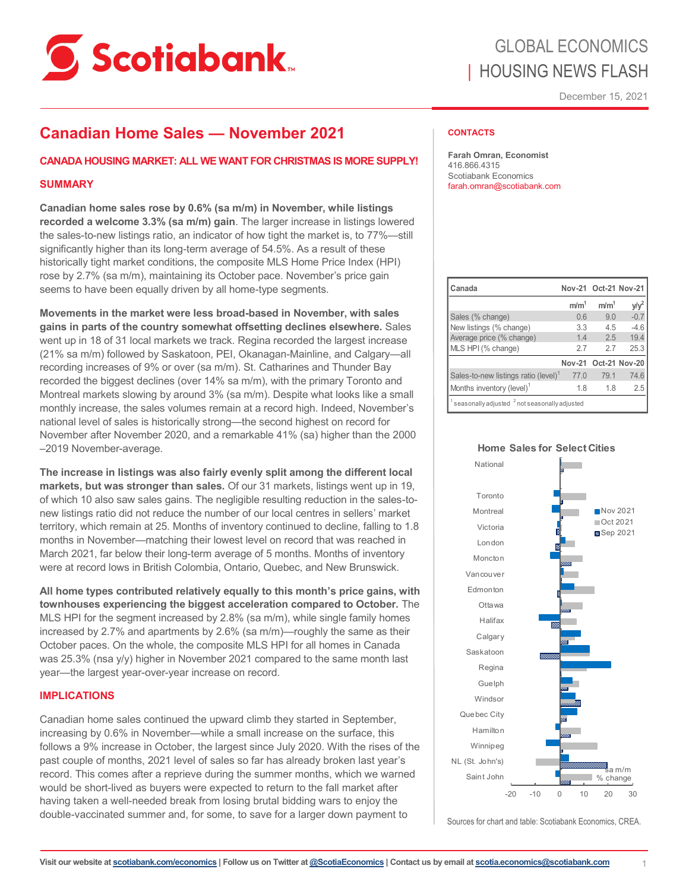

# GLOBAL ECONOMICS | HOUSING NEWS FLASH

December 15, 2021

## **Canadian Home Sales — November 2021**

#### **CANADA HOUSING MARKET: ALL WE WANT FOR CHRISTMAS IS MORE SUPPLY!**

#### **SUMMARY**

**Canadian home sales rose by 0.6% (sa m/m) in November, while listings recorded a welcome 3.3% (sa m/m) gain**. The larger increase in listings lowered the sales-to-new listings ratio, an indicator of how tight the market is, to 77%—still significantly higher than its long-term average of 54.5%. As a result of these historically tight market conditions, the composite MLS Home Price Index (HPI) rose by 2.7% (sa m/m), maintaining its October pace. November's price gain seems to have been equally driven by all home-type segments.

**Movements in the market were less broad-based in November, with sales gains in parts of the country somewhat offsetting declines elsewhere.** Sales went up in 18 of 31 local markets we track. Regina recorded the largest increase (21% sa m/m) followed by Saskatoon, PEI, Okanagan-Mainline, and Calgary—all recording increases of 9% or over (sa m/m). St. Catharines and Thunder Bay recorded the biggest declines (over 14% sa m/m), with the primary Toronto and Montreal markets slowing by around 3% (sa m/m). Despite what looks like a small monthly increase, the sales volumes remain at a record high. Indeed, November's national level of sales is historically strong—the second highest on record for November after November 2020, and a remarkable 41% (sa) higher than the 2000 –2019 November-average.

**The increase in listings was also fairly evenly split among the different local markets, but was stronger than sales.** Of our 31 markets, listings went up in 19, of which 10 also saw sales gains. The negligible resulting reduction in the sales-tonew listings ratio did not reduce the number of our local centres in sellers' market territory, which remain at 25. Months of inventory continued to decline, falling to 1.8 months in November—matching their lowest level on record that was reached in March 2021, far below their long-term average of 5 months. Months of inventory were at record lows in British Colombia, Ontario, Quebec, and New Brunswick.

**All home types contributed relatively equally to this month's price gains, with townhouses experiencing the biggest acceleration compared to October.** The MLS HPI for the segment increased by 2.8% (sa m/m), while single family homes increased by 2.7% and apartments by 2.6% (sa m/m)—roughly the same as their October paces. On the whole, the composite MLS HPI for all homes in Canada was 25.3% (nsa y/y) higher in November 2021 compared to the same month last year—the largest year-over-year increase on record.

#### **IMPLICATIONS**

Canadian home sales continued the upward climb they started in September, increasing by 0.6% in November—while a small increase on the surface, this follows a 9% increase in October, the largest since July 2020. With the rises of the past couple of months, 2021 level of sales so far has already broken last year's record. This comes after a reprieve during the summer months, which we warned would be short-lived as buyers were expected to return to the fall market after having taken a well-needed break from losing brutal bidding wars to enjoy the double-vaccinated summer and, for some, to save for a larger down payment to

#### **CONTACTS**

**Farah Omran, Economist** 416.866.4315 Scotiabank Economics farah.omran@scotiabank.com

| Canada                                                                  | Nov-21 Oct-21 Nov-21 |                  |        |  |  |  |  |  |
|-------------------------------------------------------------------------|----------------------|------------------|--------|--|--|--|--|--|
|                                                                         | m/m <sup>1</sup>     | m/m <sup>1</sup> | y/y    |  |  |  |  |  |
| Sales (% change)                                                        | 0.6                  | 9.0              | $-0.7$ |  |  |  |  |  |
| New listings (% change)                                                 | 3.3                  | 45               | $-4.6$ |  |  |  |  |  |
| Average price (% change)                                                | 14                   | 25               | 19.4   |  |  |  |  |  |
| MLS HPI (% change)                                                      | 2.7                  | 27               | 25.3   |  |  |  |  |  |
|                                                                         | Nov-21 Oct-21 Nov-20 |                  |        |  |  |  |  |  |
| Sales-to-new listings ratio (level) <sup>1</sup>                        | 770                  | 79.1             | 74.6   |  |  |  |  |  |
| Months inventory (level) <sup>1</sup>                                   | 1.8                  | 1.8              | 2.5    |  |  |  |  |  |
| $\frac{1}{2}$ seasonally adjusted $\frac{2}{2}$ not seasonally adjusted |                      |                  |        |  |  |  |  |  |



Sources for chart and table: Scotiabank Economics, CREA.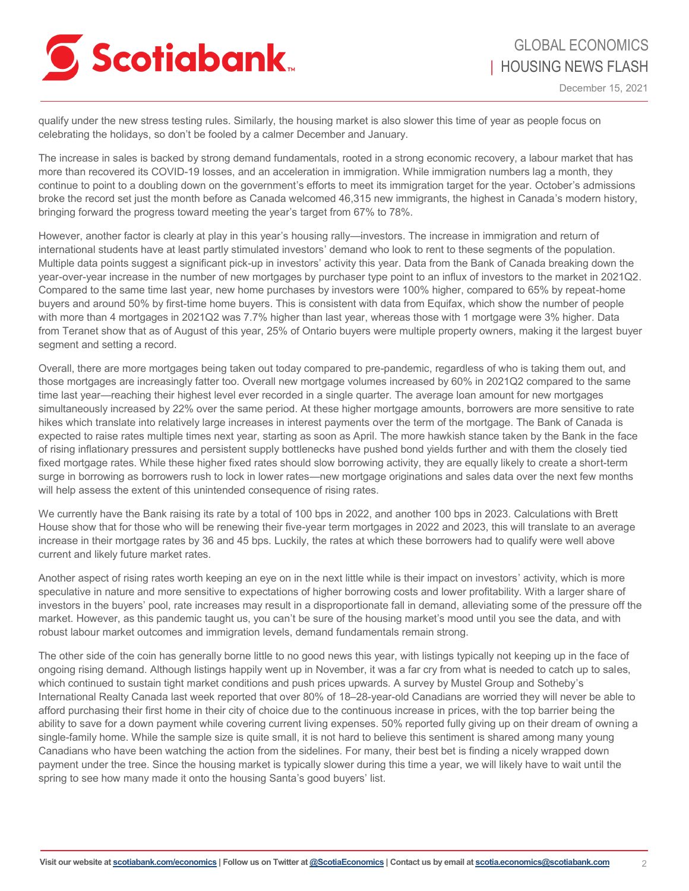

qualify under the new stress testing rules. Similarly, the housing market is also slower this time of year as people focus on celebrating the holidays, so don't be fooled by a calmer December and January.

The increase in sales is backed by strong demand fundamentals, rooted in a strong economic recovery, a labour market that has more than recovered its COVID-19 losses, and an acceleration in immigration. While immigration numbers lag a month, they continue to point to a doubling down on the government's efforts to meet its immigration target for the year. October's admissions broke the record set just the month before as Canada welcomed 46,315 new immigrants, the highest in Canada's modern history, bringing forward the progress toward meeting the year's target from 67% to 78%.

However, another factor is clearly at play in this year's housing rally—investors. The increase in immigration and return of international students have at least partly stimulated investors' demand who look to rent to these segments of the population. Multiple data points suggest a significant pick-up in investors' activity this year. Data from the Bank of Canada breaking down the year-over-year increase in the number of new mortgages by purchaser type point to an influx of investors to the market in 2021Q2. Compared to the same time last year, new home purchases by investors were 100% higher, compared to 65% by repeat-home buyers and around 50% by first-time home buyers. This is consistent with data from Equifax, which show the number of people with more than 4 mortgages in 2021Q2 was 7.7% higher than last year, whereas those with 1 mortgage were 3% higher. Data from Teranet show that as of August of this year, 25% of Ontario buyers were multiple property owners, making it the largest buyer segment and setting a record.

Overall, there are more mortgages being taken out today compared to pre-pandemic, regardless of who is taking them out, and those mortgages are increasingly fatter too. Overall new mortgage volumes increased by 60% in 2021Q2 compared to the same time last year—reaching their highest level ever recorded in a single quarter. The average loan amount for new mortgages simultaneously increased by 22% over the same period. At these higher mortgage amounts, borrowers are more sensitive to rate hikes which translate into relatively large increases in interest payments over the term of the mortgage. The Bank of Canada is expected to raise rates multiple times next year, starting as soon as April. The more hawkish stance taken by the Bank in the face of rising inflationary pressures and persistent supply bottlenecks have pushed bond yields further and with them the closely tied fixed mortgage rates. While these higher fixed rates should slow borrowing activity, they are equally likely to create a short-term surge in borrowing as borrowers rush to lock in lower rates—new mortgage originations and sales data over the next few months will help assess the extent of this unintended consequence of rising rates.

We currently have the Bank raising its rate by a total of 100 bps in 2022, and another 100 bps in 2023. Calculations with Brett House show that for those who will be renewing their five-year term mortgages in 2022 and 2023, this will translate to an average increase in their mortgage rates by 36 and 45 bps. Luckily, the rates at which these borrowers had to qualify were well above current and likely future market rates.

Another aspect of rising rates worth keeping an eye on in the next little while is their impact on investors' activity, which is more speculative in nature and more sensitive to expectations of higher borrowing costs and lower profitability. With a larger share of investors in the buyers' pool, rate increases may result in a disproportionate fall in demand, alleviating some of the pressure off the market. However, as this pandemic taught us, you can't be sure of the housing market's mood until you see the data, and with robust labour market outcomes and immigration levels, demand fundamentals remain strong.

The other side of the coin has generally borne little to no good news this year, with listings typically not keeping up in the face of ongoing rising demand. Although listings happily went up in November, it was a far cry from what is needed to catch up to sales, which continued to sustain tight market conditions and push prices upwards. A survey by Mustel Group and Sotheby's International Realty Canada last week reported that over 80% of 18–28-year-old Canadians are worried they will never be able to afford purchasing their first home in their city of choice due to the continuous increase in prices, with the top barrier being the ability to save for a down payment while covering current living expenses. 50% reported fully giving up on their dream of owning a single-family home. While the sample size is quite small, it is not hard to believe this sentiment is shared among many young Canadians who have been watching the action from the sidelines. For many, their best bet is finding a nicely wrapped down payment under the tree. Since the housing market is typically slower during this time a year, we will likely have to wait until the spring to see how many made it onto the housing Santa's good buyers' list.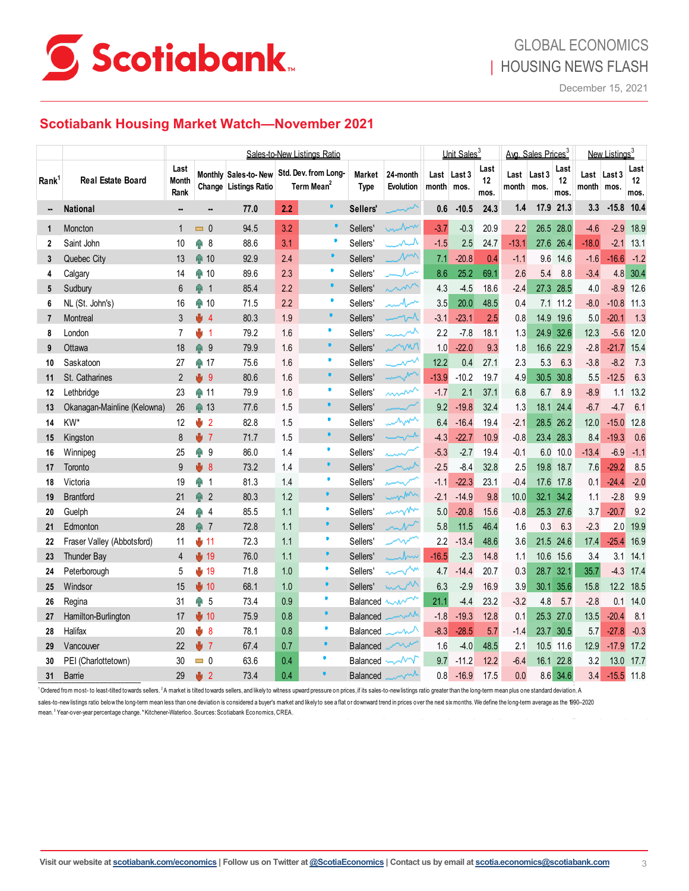

### **Scotiabank Housing Market Watch—November 2021**

| Last<br>Last<br>Last<br>Last<br>Std. Dev. from Long-<br>Monthly Sales-to-New<br>Market<br>24-month<br>Last Last 3<br>Last<br>Last 3<br>Last<br>Last 3<br><b>Real Estate Board</b><br>Rank <sup>1</sup><br><b>Month</b><br>12<br>12<br>12<br>Term Mean <sup>2</sup><br>Change Listings Ratio<br><b>Type</b><br><b>Evolution</b><br>month<br>month<br>month   mos.<br>mos.<br>mos.<br>Rank<br>mos.<br>mos.<br>mos.<br>٠<br>21.3<br>10.4<br>2.2<br>$-10.5$<br>1.4<br>17.9<br>3.3<br>$-15.8$<br><b>National</b><br>77.0<br>Sellers'<br>0.6<br>24.3<br><br>Ξ.<br>$\qquad \qquad \blacksquare$<br>unbox<br>94.5<br>3.2<br>20.9<br>26.5<br>28.0<br>$-2.9$<br>Moncton<br>$\Box$ 0<br>Sellers'<br>$-3.7$<br>$-0.3$<br>2.2<br>$-4.6$<br>1<br>1<br>×<br>3.1<br>ᄮ<br>13.1<br>Saint John<br>ĤР<br>88.6<br>Sellers'<br>$-1.5$<br>2.5<br>24.7<br>$-13.1$<br>27.6<br>26.4<br>$-18.0$<br>$-2.1$<br>10<br>8<br>$\overline{2}$<br>$\mathcal{N}^{\mathcal{M}}$<br>⋒ 10<br>2.4<br>$-20.8$<br>$-1.2$<br>Quebec City<br>13<br>92.9<br>Sellers'<br>7.1<br>0.4<br>$-1.1$<br>9.6<br>$-16.6$<br>14.6<br>$-1.6$<br>3<br>٠<br>2.3<br>89.6<br>ルー<br>25.2<br>69.1<br>4.8<br>30.4<br>14<br>⋒ 10<br>Sellers'<br>8.6<br>2.6<br>5.4<br>8.8<br>$-3.4$<br>Calgary<br>4<br>٠<br>2.2<br>mm<br>Sudbury<br>命<br>85.4<br>Sellers'<br>4.3<br>$-4.5$<br>18.6<br>27.3<br>28.5<br>4.0<br>$-8.9$<br>6<br>$\overline{1}$<br>$-2.4$<br>5<br>٠<br>2.2<br>71.5<br>تمسمامست<br>3.5<br>20.0<br>48.5<br>$-8.0$<br>$-10.8$<br>11.3<br>6<br>NL (St. John's)<br>16<br>⋒ 10<br>Sellers'<br>0.4<br>7.1<br>11.2<br>٠<br>1.9<br>$-23.1$<br>2.5<br>5.0<br>1.3<br>3<br>۰ŀ<br>80.3<br>Sellers'<br>$\sim$<br>$-3.1$<br>0.8<br>14.9<br>19.6<br>$-20.1$<br>Montreal<br>$\overline{4}$<br>7<br>Ù.<br>₩<br>1.6<br>$-7.8$<br>18.1<br>24.9<br>32.6<br>$-5.6$<br>London<br>7<br>$\overline{1}$<br>79.2<br>Sellers'<br>سمبر<br>2.2<br>1.3<br>12.3<br>12.0<br>8<br>٠<br>⋒<br>www<br>$-22.0$<br>15.4<br>Ottawa<br>18<br>9<br>79.9<br>1.6<br>Sellers'<br>1.0<br>9.3<br>1.8<br>16.6<br>22.9<br>$-2.8$<br>$-21.7$<br>9<br>Ų.<br>27.1<br>1.6<br>Sellers'<br>مہر<br>12.2<br>0.4<br>$-8.2$<br>Saskatoon<br>27<br>⋒ 17<br>75.6<br>2.3<br>5.3<br>6.3<br>$-3.8$<br>10<br>٠<br>mym<br>y<br>$\mathfrak{p}$<br>80.6<br>1.6<br>Sellers'<br>$-13.9$<br>$-10.2$<br>19.7<br>4.9<br>30.5<br>30.8<br>$-12.5$<br>St. Catharines<br>-9<br>5.5<br>11<br>٠<br>mm<br>37.1<br>1.6<br>Sellers'<br>2.1<br>Lethbridge<br>23<br>ଳ 11<br>79.9<br>$-1.7$<br>6.8<br>6.7<br>8.9<br>$-8.9$<br>1.1<br>12<br>$\blacksquare$<br>⋒ 13<br>1.5<br>32.4<br>6.1<br>Okanagan-Mainline (Kelowna)<br>26<br>77.6<br>Sellers'<br>9.2<br>$-19.8$<br>1.3<br>24.4<br>$-6.7$<br>18.1<br>$-4.7$<br>13<br>٠<br>when<br>KW*<br>y<br>$\overline{2}$<br>82.8<br>1.5<br>Sellers'<br>$-16.4$<br>19.4<br>26.2<br>12.0<br>12<br>$-2.1$<br>28.5<br>$-15.0$<br>14<br>6.4<br>$\bullet$<br>m<br>$\mathbf{J}$ 7<br>1.5<br>71.7<br>Sellers'<br>$-4.3$<br>$-22.7$<br>10.9<br>$-0.8$<br>23.4<br>28.3<br>$-19.3$<br>Kingston<br>8<br>8.4<br>15<br>86.0<br>Sellers'<br>$-5.3$<br>$-2.7$<br>19.4<br>10.0<br>$-6.9$<br>$-1.1$<br>25<br>⋒<br>9<br>1.4<br>$-0.1$<br>6.0<br>$-13.4$<br>Winnipeg<br>16<br>بسيد<br>٠<br>₩<br>73.2<br>$-29.2$<br>9<br>Sellers'<br>$-2.5$<br>$-8.4$<br>32.8<br>2.5<br>19.8<br>18.7<br>7.6<br>Toronto<br>-8<br>1.4<br>17<br>٠<br>⋒<br>81.3<br>$-2.0$<br>Victoria<br>19<br>1.4<br>Sellers'<br>$-22.3$<br>23.1<br>$-0.4$<br>17.6<br>17.8<br>0.1<br>$-24.4$<br>18<br>-1<br>-1.1<br>$\bullet$<br>mom<br>⋒<br>1.2<br><b>Brantford</b><br>$\overline{2}$<br>80.3<br>Sellers'<br>$-14.9$<br>9.8<br>10.0<br>32.1<br>34.2<br>$-2.8$<br>21<br>$-2.1$<br>1.1<br>19<br>٠<br>mmm<br>9.2<br>24<br>⋒<br>85.5<br>1.1<br>Sellers'<br>$-20.8$<br>15.6<br>25.3<br>27.6<br>$-20.7$<br>Guelph<br>$\overline{4}$<br>5.0<br>$-0.8$<br>3.7<br>20<br>٠<br>28<br>$\widehat{\mathbb{R}}$<br>72.8<br>Sellers'<br>$\sim$<br>46.4<br>Edmonton<br>1.1<br>5.8<br>11.5<br>0.3<br>6.3<br>$-2.3$<br>2.0<br>$\overline{7}$<br>1.6<br>21<br>×<br>72.3<br>1.1<br>Sellers'<br>2.2<br>$-13.4$<br>48.6<br>21.5<br>$-25.4$<br>Fraser Valley (Abbotsford)<br>⊎ 11<br>3.6<br>24.6<br>17.4<br>11<br>22<br>₩<br>٠<br>$\frac{1}{2}$ 19<br>1.1<br>14.1<br><b>Thunder Bay</b><br>76.0<br>Sellers'<br>$-16.5$<br>$-2.3$<br>14.8<br>15.6<br>3.4<br>3.1<br>$\overline{4}$<br>Ju<br>1.1<br>10.6<br>23<br>o<br><b><u></u> ê</b><br>71.8<br>1.0<br>20.7<br>0.3<br>28.7<br>32.1<br>35.7<br>$-4.3$<br>Peterborough<br>5<br>19<br>Sellers'<br>4.7<br>$-14.4$<br>17.4<br>24<br>٠<br>1.0<br>min<br>12.2<br>Windsor<br>15<br>$+ 10$<br>68.1<br>Sellers'<br>6.3<br>$-2.9$<br>16.9<br>3.9<br>30.1<br>35.6<br>15.8<br>18.5<br>25<br>٠<br>∩<br>0.9<br>mon<br>23.2<br>14.0<br>5<br>73.4<br>Balanced<br>21.1<br>$-4.4$<br>4.8<br>5.7<br>$-2.8$<br>0.1<br>Regina<br>31<br>$-3.2$<br>26<br>٠<br>$\frac{1}{2}$ 10<br>0.8<br>75.9<br>mm<br>$-1.8$<br>$-19.3$<br>12.8<br>25.3<br>27.0<br>13.5<br>$-20.4$<br>8.1<br>Hamilton-Burlington<br>17<br><b>Balanced</b><br>0.1<br>27<br>٠<br>₩<br>0.8<br>$-28.5$<br>$-0.3$<br>Halifax<br>8<br>78.1<br>$-8.3$<br>5.7<br>23.7<br>30.5<br>5.7<br>$-27.8$<br>28<br>20<br>Balanced<br>$-1.4$<br>٠<br>₩<br>0.7<br>22<br>$\overline{7}$<br>67.4<br>$-4.0$<br>48.5<br>10.5<br>11.6<br>12.9<br>$-17.9$<br>Vancouver<br><b>Balanced</b><br>1.6<br>2.1<br>29<br>٠<br>PEI (Charlottetown)<br>63.6<br>0.4<br>12.2<br>16.1<br>22.8<br>13.0<br>30<br>$= 0$<br>$\sim$<br>9.7<br>$-11.2$<br>$-6.4$<br>3.2<br>Balanced<br>30<br>$\bullet$<br>Ū.<br>73.4<br>0.4<br>29<br>$\overline{2}$<br>$-16.9$<br>17.5<br>8.6<br>34.6<br>$-15.5$ 11.8<br><b>Barrie</b><br>$0.8\,$<br>0.0<br>3.4<br>31<br><b>Balanced</b> |  | Sales-to-New Listings Ratio |  |  |  |  | Unit Sales <sup>3</sup> |  |  | Avg. Sales Prices <sup>3</sup> |  |  | New Listinas <sup>3</sup> |  |  |      |
|---------------------------------------------------------------------------------------------------------------------------------------------------------------------------------------------------------------------------------------------------------------------------------------------------------------------------------------------------------------------------------------------------------------------------------------------------------------------------------------------------------------------------------------------------------------------------------------------------------------------------------------------------------------------------------------------------------------------------------------------------------------------------------------------------------------------------------------------------------------------------------------------------------------------------------------------------------------------------------------------------------------------------------------------------------------------------------------------------------------------------------------------------------------------------------------------------------------------------------------------------------------------------------------------------------------------------------------------------------------------------------------------------------------------------------------------------------------------------------------------------------------------------------------------------------------------------------------------------------------------------------------------------------------------------------------------------------------------------------------------------------------------------------------------------------------------------------------------------------------------------------------------------------------------------------------------------------------------------------------------------------------------------------------------------------------------------------------------------------------------------------------------------------------------------------------------------------------------------------------------------------------------------------------------------------------------------------------------------------------------------------------------------------------------------------------------------------------------------------------------------------------------------------------------------------------------------------------------------------------------------------------------------------------------------------------------------------------------------------------------------------------------------------------------------------------------------------------------------------------------------------------------------------------------------------------------------------------------------------------------------------------------------------------------------------------------------------------------------------------------------------------------------------------------------------------------------------------------------------------------------------------------------------------------------------------------------------------------------------------------------------------------------------------------------------------------------------------------------------------------------------------------------------------------------------------------------------------------------------------------------------------------------------------------------------------------------------------------------------------------------------------------------------------------------------------------------------------------------------------------------------------------------------------------------------------------------------------------------------------------------------------------------------------------------------------------------------------------------------------------------------------------------------------------------------------------------------------------------------------------------------------------------------------------------------------------------------------------------------------------------------------------------------------------------------------------------------------------------------------------------------------------------------------------------------------------------------------------------------------------------------------------------------------------------------------------------------------------------------------------------------------------------------------------------------------------------------------------------------------------------------------------------------------------------------------------------------------------------------------------------------------------------------------------------------------------------------------------------------------------------------------------------------------------------------------------------------------------------------------------------------------------------------------------------------------------------------------------------------------------------------------------------------------------------------------------------------------------------------------------------------------------------------------------------------------------------------------------------------------------------------|--|-----------------------------|--|--|--|--|-------------------------|--|--|--------------------------------|--|--|---------------------------|--|--|------|
|                                                                                                                                                                                                                                                                                                                                                                                                                                                                                                                                                                                                                                                                                                                                                                                                                                                                                                                                                                                                                                                                                                                                                                                                                                                                                                                                                                                                                                                                                                                                                                                                                                                                                                                                                                                                                                                                                                                                                                                                                                                                                                                                                                                                                                                                                                                                                                                                                                                                                                                                                                                                                                                                                                                                                                                                                                                                                                                                                                                                                                                                                                                                                                                                                                                                                                                                                                                                                                                                                                                                                                                                                                                                                                                                                                                                                                                                                                                                                                                                                                                                                                                                                                                                                                                                                                                                                                                                                                                                                                                                                                                                                                                                                                                                                                                                                                                                                                                                                                                                                                                                                                                                                                                                                                                                                                                                                                                                                                                                                                                                                                                                                                 |  |                             |  |  |  |  |                         |  |  |                                |  |  |                           |  |  |      |
|                                                                                                                                                                                                                                                                                                                                                                                                                                                                                                                                                                                                                                                                                                                                                                                                                                                                                                                                                                                                                                                                                                                                                                                                                                                                                                                                                                                                                                                                                                                                                                                                                                                                                                                                                                                                                                                                                                                                                                                                                                                                                                                                                                                                                                                                                                                                                                                                                                                                                                                                                                                                                                                                                                                                                                                                                                                                                                                                                                                                                                                                                                                                                                                                                                                                                                                                                                                                                                                                                                                                                                                                                                                                                                                                                                                                                                                                                                                                                                                                                                                                                                                                                                                                                                                                                                                                                                                                                                                                                                                                                                                                                                                                                                                                                                                                                                                                                                                                                                                                                                                                                                                                                                                                                                                                                                                                                                                                                                                                                                                                                                                                                                 |  |                             |  |  |  |  |                         |  |  |                                |  |  |                           |  |  |      |
|                                                                                                                                                                                                                                                                                                                                                                                                                                                                                                                                                                                                                                                                                                                                                                                                                                                                                                                                                                                                                                                                                                                                                                                                                                                                                                                                                                                                                                                                                                                                                                                                                                                                                                                                                                                                                                                                                                                                                                                                                                                                                                                                                                                                                                                                                                                                                                                                                                                                                                                                                                                                                                                                                                                                                                                                                                                                                                                                                                                                                                                                                                                                                                                                                                                                                                                                                                                                                                                                                                                                                                                                                                                                                                                                                                                                                                                                                                                                                                                                                                                                                                                                                                                                                                                                                                                                                                                                                                                                                                                                                                                                                                                                                                                                                                                                                                                                                                                                                                                                                                                                                                                                                                                                                                                                                                                                                                                                                                                                                                                                                                                                                                 |  |                             |  |  |  |  |                         |  |  |                                |  |  |                           |  |  | 18.9 |
|                                                                                                                                                                                                                                                                                                                                                                                                                                                                                                                                                                                                                                                                                                                                                                                                                                                                                                                                                                                                                                                                                                                                                                                                                                                                                                                                                                                                                                                                                                                                                                                                                                                                                                                                                                                                                                                                                                                                                                                                                                                                                                                                                                                                                                                                                                                                                                                                                                                                                                                                                                                                                                                                                                                                                                                                                                                                                                                                                                                                                                                                                                                                                                                                                                                                                                                                                                                                                                                                                                                                                                                                                                                                                                                                                                                                                                                                                                                                                                                                                                                                                                                                                                                                                                                                                                                                                                                                                                                                                                                                                                                                                                                                                                                                                                                                                                                                                                                                                                                                                                                                                                                                                                                                                                                                                                                                                                                                                                                                                                                                                                                                                                 |  |                             |  |  |  |  |                         |  |  |                                |  |  |                           |  |  |      |
|                                                                                                                                                                                                                                                                                                                                                                                                                                                                                                                                                                                                                                                                                                                                                                                                                                                                                                                                                                                                                                                                                                                                                                                                                                                                                                                                                                                                                                                                                                                                                                                                                                                                                                                                                                                                                                                                                                                                                                                                                                                                                                                                                                                                                                                                                                                                                                                                                                                                                                                                                                                                                                                                                                                                                                                                                                                                                                                                                                                                                                                                                                                                                                                                                                                                                                                                                                                                                                                                                                                                                                                                                                                                                                                                                                                                                                                                                                                                                                                                                                                                                                                                                                                                                                                                                                                                                                                                                                                                                                                                                                                                                                                                                                                                                                                                                                                                                                                                                                                                                                                                                                                                                                                                                                                                                                                                                                                                                                                                                                                                                                                                                                 |  |                             |  |  |  |  |                         |  |  |                                |  |  |                           |  |  |      |
|                                                                                                                                                                                                                                                                                                                                                                                                                                                                                                                                                                                                                                                                                                                                                                                                                                                                                                                                                                                                                                                                                                                                                                                                                                                                                                                                                                                                                                                                                                                                                                                                                                                                                                                                                                                                                                                                                                                                                                                                                                                                                                                                                                                                                                                                                                                                                                                                                                                                                                                                                                                                                                                                                                                                                                                                                                                                                                                                                                                                                                                                                                                                                                                                                                                                                                                                                                                                                                                                                                                                                                                                                                                                                                                                                                                                                                                                                                                                                                                                                                                                                                                                                                                                                                                                                                                                                                                                                                                                                                                                                                                                                                                                                                                                                                                                                                                                                                                                                                                                                                                                                                                                                                                                                                                                                                                                                                                                                                                                                                                                                                                                                                 |  |                             |  |  |  |  |                         |  |  |                                |  |  |                           |  |  |      |
|                                                                                                                                                                                                                                                                                                                                                                                                                                                                                                                                                                                                                                                                                                                                                                                                                                                                                                                                                                                                                                                                                                                                                                                                                                                                                                                                                                                                                                                                                                                                                                                                                                                                                                                                                                                                                                                                                                                                                                                                                                                                                                                                                                                                                                                                                                                                                                                                                                                                                                                                                                                                                                                                                                                                                                                                                                                                                                                                                                                                                                                                                                                                                                                                                                                                                                                                                                                                                                                                                                                                                                                                                                                                                                                                                                                                                                                                                                                                                                                                                                                                                                                                                                                                                                                                                                                                                                                                                                                                                                                                                                                                                                                                                                                                                                                                                                                                                                                                                                                                                                                                                                                                                                                                                                                                                                                                                                                                                                                                                                                                                                                                                                 |  |                             |  |  |  |  |                         |  |  |                                |  |  |                           |  |  | 12.6 |
|                                                                                                                                                                                                                                                                                                                                                                                                                                                                                                                                                                                                                                                                                                                                                                                                                                                                                                                                                                                                                                                                                                                                                                                                                                                                                                                                                                                                                                                                                                                                                                                                                                                                                                                                                                                                                                                                                                                                                                                                                                                                                                                                                                                                                                                                                                                                                                                                                                                                                                                                                                                                                                                                                                                                                                                                                                                                                                                                                                                                                                                                                                                                                                                                                                                                                                                                                                                                                                                                                                                                                                                                                                                                                                                                                                                                                                                                                                                                                                                                                                                                                                                                                                                                                                                                                                                                                                                                                                                                                                                                                                                                                                                                                                                                                                                                                                                                                                                                                                                                                                                                                                                                                                                                                                                                                                                                                                                                                                                                                                                                                                                                                                 |  |                             |  |  |  |  |                         |  |  |                                |  |  |                           |  |  |      |
|                                                                                                                                                                                                                                                                                                                                                                                                                                                                                                                                                                                                                                                                                                                                                                                                                                                                                                                                                                                                                                                                                                                                                                                                                                                                                                                                                                                                                                                                                                                                                                                                                                                                                                                                                                                                                                                                                                                                                                                                                                                                                                                                                                                                                                                                                                                                                                                                                                                                                                                                                                                                                                                                                                                                                                                                                                                                                                                                                                                                                                                                                                                                                                                                                                                                                                                                                                                                                                                                                                                                                                                                                                                                                                                                                                                                                                                                                                                                                                                                                                                                                                                                                                                                                                                                                                                                                                                                                                                                                                                                                                                                                                                                                                                                                                                                                                                                                                                                                                                                                                                                                                                                                                                                                                                                                                                                                                                                                                                                                                                                                                                                                                 |  |                             |  |  |  |  |                         |  |  |                                |  |  |                           |  |  |      |
|                                                                                                                                                                                                                                                                                                                                                                                                                                                                                                                                                                                                                                                                                                                                                                                                                                                                                                                                                                                                                                                                                                                                                                                                                                                                                                                                                                                                                                                                                                                                                                                                                                                                                                                                                                                                                                                                                                                                                                                                                                                                                                                                                                                                                                                                                                                                                                                                                                                                                                                                                                                                                                                                                                                                                                                                                                                                                                                                                                                                                                                                                                                                                                                                                                                                                                                                                                                                                                                                                                                                                                                                                                                                                                                                                                                                                                                                                                                                                                                                                                                                                                                                                                                                                                                                                                                                                                                                                                                                                                                                                                                                                                                                                                                                                                                                                                                                                                                                                                                                                                                                                                                                                                                                                                                                                                                                                                                                                                                                                                                                                                                                                                 |  |                             |  |  |  |  |                         |  |  |                                |  |  |                           |  |  |      |
|                                                                                                                                                                                                                                                                                                                                                                                                                                                                                                                                                                                                                                                                                                                                                                                                                                                                                                                                                                                                                                                                                                                                                                                                                                                                                                                                                                                                                                                                                                                                                                                                                                                                                                                                                                                                                                                                                                                                                                                                                                                                                                                                                                                                                                                                                                                                                                                                                                                                                                                                                                                                                                                                                                                                                                                                                                                                                                                                                                                                                                                                                                                                                                                                                                                                                                                                                                                                                                                                                                                                                                                                                                                                                                                                                                                                                                                                                                                                                                                                                                                                                                                                                                                                                                                                                                                                                                                                                                                                                                                                                                                                                                                                                                                                                                                                                                                                                                                                                                                                                                                                                                                                                                                                                                                                                                                                                                                                                                                                                                                                                                                                                                 |  |                             |  |  |  |  |                         |  |  |                                |  |  |                           |  |  |      |
|                                                                                                                                                                                                                                                                                                                                                                                                                                                                                                                                                                                                                                                                                                                                                                                                                                                                                                                                                                                                                                                                                                                                                                                                                                                                                                                                                                                                                                                                                                                                                                                                                                                                                                                                                                                                                                                                                                                                                                                                                                                                                                                                                                                                                                                                                                                                                                                                                                                                                                                                                                                                                                                                                                                                                                                                                                                                                                                                                                                                                                                                                                                                                                                                                                                                                                                                                                                                                                                                                                                                                                                                                                                                                                                                                                                                                                                                                                                                                                                                                                                                                                                                                                                                                                                                                                                                                                                                                                                                                                                                                                                                                                                                                                                                                                                                                                                                                                                                                                                                                                                                                                                                                                                                                                                                                                                                                                                                                                                                                                                                                                                                                                 |  |                             |  |  |  |  |                         |  |  |                                |  |  |                           |  |  | 7.3  |
|                                                                                                                                                                                                                                                                                                                                                                                                                                                                                                                                                                                                                                                                                                                                                                                                                                                                                                                                                                                                                                                                                                                                                                                                                                                                                                                                                                                                                                                                                                                                                                                                                                                                                                                                                                                                                                                                                                                                                                                                                                                                                                                                                                                                                                                                                                                                                                                                                                                                                                                                                                                                                                                                                                                                                                                                                                                                                                                                                                                                                                                                                                                                                                                                                                                                                                                                                                                                                                                                                                                                                                                                                                                                                                                                                                                                                                                                                                                                                                                                                                                                                                                                                                                                                                                                                                                                                                                                                                                                                                                                                                                                                                                                                                                                                                                                                                                                                                                                                                                                                                                                                                                                                                                                                                                                                                                                                                                                                                                                                                                                                                                                                                 |  |                             |  |  |  |  |                         |  |  |                                |  |  |                           |  |  | 6.3  |
|                                                                                                                                                                                                                                                                                                                                                                                                                                                                                                                                                                                                                                                                                                                                                                                                                                                                                                                                                                                                                                                                                                                                                                                                                                                                                                                                                                                                                                                                                                                                                                                                                                                                                                                                                                                                                                                                                                                                                                                                                                                                                                                                                                                                                                                                                                                                                                                                                                                                                                                                                                                                                                                                                                                                                                                                                                                                                                                                                                                                                                                                                                                                                                                                                                                                                                                                                                                                                                                                                                                                                                                                                                                                                                                                                                                                                                                                                                                                                                                                                                                                                                                                                                                                                                                                                                                                                                                                                                                                                                                                                                                                                                                                                                                                                                                                                                                                                                                                                                                                                                                                                                                                                                                                                                                                                                                                                                                                                                                                                                                                                                                                                                 |  |                             |  |  |  |  |                         |  |  |                                |  |  |                           |  |  | 13.2 |
|                                                                                                                                                                                                                                                                                                                                                                                                                                                                                                                                                                                                                                                                                                                                                                                                                                                                                                                                                                                                                                                                                                                                                                                                                                                                                                                                                                                                                                                                                                                                                                                                                                                                                                                                                                                                                                                                                                                                                                                                                                                                                                                                                                                                                                                                                                                                                                                                                                                                                                                                                                                                                                                                                                                                                                                                                                                                                                                                                                                                                                                                                                                                                                                                                                                                                                                                                                                                                                                                                                                                                                                                                                                                                                                                                                                                                                                                                                                                                                                                                                                                                                                                                                                                                                                                                                                                                                                                                                                                                                                                                                                                                                                                                                                                                                                                                                                                                                                                                                                                                                                                                                                                                                                                                                                                                                                                                                                                                                                                                                                                                                                                                                 |  |                             |  |  |  |  |                         |  |  |                                |  |  |                           |  |  |      |
|                                                                                                                                                                                                                                                                                                                                                                                                                                                                                                                                                                                                                                                                                                                                                                                                                                                                                                                                                                                                                                                                                                                                                                                                                                                                                                                                                                                                                                                                                                                                                                                                                                                                                                                                                                                                                                                                                                                                                                                                                                                                                                                                                                                                                                                                                                                                                                                                                                                                                                                                                                                                                                                                                                                                                                                                                                                                                                                                                                                                                                                                                                                                                                                                                                                                                                                                                                                                                                                                                                                                                                                                                                                                                                                                                                                                                                                                                                                                                                                                                                                                                                                                                                                                                                                                                                                                                                                                                                                                                                                                                                                                                                                                                                                                                                                                                                                                                                                                                                                                                                                                                                                                                                                                                                                                                                                                                                                                                                                                                                                                                                                                                                 |  |                             |  |  |  |  |                         |  |  |                                |  |  |                           |  |  | 12.8 |
|                                                                                                                                                                                                                                                                                                                                                                                                                                                                                                                                                                                                                                                                                                                                                                                                                                                                                                                                                                                                                                                                                                                                                                                                                                                                                                                                                                                                                                                                                                                                                                                                                                                                                                                                                                                                                                                                                                                                                                                                                                                                                                                                                                                                                                                                                                                                                                                                                                                                                                                                                                                                                                                                                                                                                                                                                                                                                                                                                                                                                                                                                                                                                                                                                                                                                                                                                                                                                                                                                                                                                                                                                                                                                                                                                                                                                                                                                                                                                                                                                                                                                                                                                                                                                                                                                                                                                                                                                                                                                                                                                                                                                                                                                                                                                                                                                                                                                                                                                                                                                                                                                                                                                                                                                                                                                                                                                                                                                                                                                                                                                                                                                                 |  |                             |  |  |  |  |                         |  |  |                                |  |  |                           |  |  | 0.6  |
|                                                                                                                                                                                                                                                                                                                                                                                                                                                                                                                                                                                                                                                                                                                                                                                                                                                                                                                                                                                                                                                                                                                                                                                                                                                                                                                                                                                                                                                                                                                                                                                                                                                                                                                                                                                                                                                                                                                                                                                                                                                                                                                                                                                                                                                                                                                                                                                                                                                                                                                                                                                                                                                                                                                                                                                                                                                                                                                                                                                                                                                                                                                                                                                                                                                                                                                                                                                                                                                                                                                                                                                                                                                                                                                                                                                                                                                                                                                                                                                                                                                                                                                                                                                                                                                                                                                                                                                                                                                                                                                                                                                                                                                                                                                                                                                                                                                                                                                                                                                                                                                                                                                                                                                                                                                                                                                                                                                                                                                                                                                                                                                                                                 |  |                             |  |  |  |  |                         |  |  |                                |  |  |                           |  |  |      |
|                                                                                                                                                                                                                                                                                                                                                                                                                                                                                                                                                                                                                                                                                                                                                                                                                                                                                                                                                                                                                                                                                                                                                                                                                                                                                                                                                                                                                                                                                                                                                                                                                                                                                                                                                                                                                                                                                                                                                                                                                                                                                                                                                                                                                                                                                                                                                                                                                                                                                                                                                                                                                                                                                                                                                                                                                                                                                                                                                                                                                                                                                                                                                                                                                                                                                                                                                                                                                                                                                                                                                                                                                                                                                                                                                                                                                                                                                                                                                                                                                                                                                                                                                                                                                                                                                                                                                                                                                                                                                                                                                                                                                                                                                                                                                                                                                                                                                                                                                                                                                                                                                                                                                                                                                                                                                                                                                                                                                                                                                                                                                                                                                                 |  |                             |  |  |  |  |                         |  |  |                                |  |  |                           |  |  | 8.5  |
|                                                                                                                                                                                                                                                                                                                                                                                                                                                                                                                                                                                                                                                                                                                                                                                                                                                                                                                                                                                                                                                                                                                                                                                                                                                                                                                                                                                                                                                                                                                                                                                                                                                                                                                                                                                                                                                                                                                                                                                                                                                                                                                                                                                                                                                                                                                                                                                                                                                                                                                                                                                                                                                                                                                                                                                                                                                                                                                                                                                                                                                                                                                                                                                                                                                                                                                                                                                                                                                                                                                                                                                                                                                                                                                                                                                                                                                                                                                                                                                                                                                                                                                                                                                                                                                                                                                                                                                                                                                                                                                                                                                                                                                                                                                                                                                                                                                                                                                                                                                                                                                                                                                                                                                                                                                                                                                                                                                                                                                                                                                                                                                                                                 |  |                             |  |  |  |  |                         |  |  |                                |  |  |                           |  |  |      |
|                                                                                                                                                                                                                                                                                                                                                                                                                                                                                                                                                                                                                                                                                                                                                                                                                                                                                                                                                                                                                                                                                                                                                                                                                                                                                                                                                                                                                                                                                                                                                                                                                                                                                                                                                                                                                                                                                                                                                                                                                                                                                                                                                                                                                                                                                                                                                                                                                                                                                                                                                                                                                                                                                                                                                                                                                                                                                                                                                                                                                                                                                                                                                                                                                                                                                                                                                                                                                                                                                                                                                                                                                                                                                                                                                                                                                                                                                                                                                                                                                                                                                                                                                                                                                                                                                                                                                                                                                                                                                                                                                                                                                                                                                                                                                                                                                                                                                                                                                                                                                                                                                                                                                                                                                                                                                                                                                                                                                                                                                                                                                                                                                                 |  |                             |  |  |  |  |                         |  |  |                                |  |  |                           |  |  | 9.9  |
|                                                                                                                                                                                                                                                                                                                                                                                                                                                                                                                                                                                                                                                                                                                                                                                                                                                                                                                                                                                                                                                                                                                                                                                                                                                                                                                                                                                                                                                                                                                                                                                                                                                                                                                                                                                                                                                                                                                                                                                                                                                                                                                                                                                                                                                                                                                                                                                                                                                                                                                                                                                                                                                                                                                                                                                                                                                                                                                                                                                                                                                                                                                                                                                                                                                                                                                                                                                                                                                                                                                                                                                                                                                                                                                                                                                                                                                                                                                                                                                                                                                                                                                                                                                                                                                                                                                                                                                                                                                                                                                                                                                                                                                                                                                                                                                                                                                                                                                                                                                                                                                                                                                                                                                                                                                                                                                                                                                                                                                                                                                                                                                                                                 |  |                             |  |  |  |  |                         |  |  |                                |  |  |                           |  |  |      |
|                                                                                                                                                                                                                                                                                                                                                                                                                                                                                                                                                                                                                                                                                                                                                                                                                                                                                                                                                                                                                                                                                                                                                                                                                                                                                                                                                                                                                                                                                                                                                                                                                                                                                                                                                                                                                                                                                                                                                                                                                                                                                                                                                                                                                                                                                                                                                                                                                                                                                                                                                                                                                                                                                                                                                                                                                                                                                                                                                                                                                                                                                                                                                                                                                                                                                                                                                                                                                                                                                                                                                                                                                                                                                                                                                                                                                                                                                                                                                                                                                                                                                                                                                                                                                                                                                                                                                                                                                                                                                                                                                                                                                                                                                                                                                                                                                                                                                                                                                                                                                                                                                                                                                                                                                                                                                                                                                                                                                                                                                                                                                                                                                                 |  |                             |  |  |  |  |                         |  |  |                                |  |  |                           |  |  | 19.9 |
|                                                                                                                                                                                                                                                                                                                                                                                                                                                                                                                                                                                                                                                                                                                                                                                                                                                                                                                                                                                                                                                                                                                                                                                                                                                                                                                                                                                                                                                                                                                                                                                                                                                                                                                                                                                                                                                                                                                                                                                                                                                                                                                                                                                                                                                                                                                                                                                                                                                                                                                                                                                                                                                                                                                                                                                                                                                                                                                                                                                                                                                                                                                                                                                                                                                                                                                                                                                                                                                                                                                                                                                                                                                                                                                                                                                                                                                                                                                                                                                                                                                                                                                                                                                                                                                                                                                                                                                                                                                                                                                                                                                                                                                                                                                                                                                                                                                                                                                                                                                                                                                                                                                                                                                                                                                                                                                                                                                                                                                                                                                                                                                                                                 |  |                             |  |  |  |  |                         |  |  |                                |  |  |                           |  |  | 16.9 |
|                                                                                                                                                                                                                                                                                                                                                                                                                                                                                                                                                                                                                                                                                                                                                                                                                                                                                                                                                                                                                                                                                                                                                                                                                                                                                                                                                                                                                                                                                                                                                                                                                                                                                                                                                                                                                                                                                                                                                                                                                                                                                                                                                                                                                                                                                                                                                                                                                                                                                                                                                                                                                                                                                                                                                                                                                                                                                                                                                                                                                                                                                                                                                                                                                                                                                                                                                                                                                                                                                                                                                                                                                                                                                                                                                                                                                                                                                                                                                                                                                                                                                                                                                                                                                                                                                                                                                                                                                                                                                                                                                                                                                                                                                                                                                                                                                                                                                                                                                                                                                                                                                                                                                                                                                                                                                                                                                                                                                                                                                                                                                                                                                                 |  |                             |  |  |  |  |                         |  |  |                                |  |  |                           |  |  |      |
|                                                                                                                                                                                                                                                                                                                                                                                                                                                                                                                                                                                                                                                                                                                                                                                                                                                                                                                                                                                                                                                                                                                                                                                                                                                                                                                                                                                                                                                                                                                                                                                                                                                                                                                                                                                                                                                                                                                                                                                                                                                                                                                                                                                                                                                                                                                                                                                                                                                                                                                                                                                                                                                                                                                                                                                                                                                                                                                                                                                                                                                                                                                                                                                                                                                                                                                                                                                                                                                                                                                                                                                                                                                                                                                                                                                                                                                                                                                                                                                                                                                                                                                                                                                                                                                                                                                                                                                                                                                                                                                                                                                                                                                                                                                                                                                                                                                                                                                                                                                                                                                                                                                                                                                                                                                                                                                                                                                                                                                                                                                                                                                                                                 |  |                             |  |  |  |  |                         |  |  |                                |  |  |                           |  |  |      |
|                                                                                                                                                                                                                                                                                                                                                                                                                                                                                                                                                                                                                                                                                                                                                                                                                                                                                                                                                                                                                                                                                                                                                                                                                                                                                                                                                                                                                                                                                                                                                                                                                                                                                                                                                                                                                                                                                                                                                                                                                                                                                                                                                                                                                                                                                                                                                                                                                                                                                                                                                                                                                                                                                                                                                                                                                                                                                                                                                                                                                                                                                                                                                                                                                                                                                                                                                                                                                                                                                                                                                                                                                                                                                                                                                                                                                                                                                                                                                                                                                                                                                                                                                                                                                                                                                                                                                                                                                                                                                                                                                                                                                                                                                                                                                                                                                                                                                                                                                                                                                                                                                                                                                                                                                                                                                                                                                                                                                                                                                                                                                                                                                                 |  |                             |  |  |  |  |                         |  |  |                                |  |  |                           |  |  |      |
|                                                                                                                                                                                                                                                                                                                                                                                                                                                                                                                                                                                                                                                                                                                                                                                                                                                                                                                                                                                                                                                                                                                                                                                                                                                                                                                                                                                                                                                                                                                                                                                                                                                                                                                                                                                                                                                                                                                                                                                                                                                                                                                                                                                                                                                                                                                                                                                                                                                                                                                                                                                                                                                                                                                                                                                                                                                                                                                                                                                                                                                                                                                                                                                                                                                                                                                                                                                                                                                                                                                                                                                                                                                                                                                                                                                                                                                                                                                                                                                                                                                                                                                                                                                                                                                                                                                                                                                                                                                                                                                                                                                                                                                                                                                                                                                                                                                                                                                                                                                                                                                                                                                                                                                                                                                                                                                                                                                                                                                                                                                                                                                                                                 |  |                             |  |  |  |  |                         |  |  |                                |  |  |                           |  |  |      |
|                                                                                                                                                                                                                                                                                                                                                                                                                                                                                                                                                                                                                                                                                                                                                                                                                                                                                                                                                                                                                                                                                                                                                                                                                                                                                                                                                                                                                                                                                                                                                                                                                                                                                                                                                                                                                                                                                                                                                                                                                                                                                                                                                                                                                                                                                                                                                                                                                                                                                                                                                                                                                                                                                                                                                                                                                                                                                                                                                                                                                                                                                                                                                                                                                                                                                                                                                                                                                                                                                                                                                                                                                                                                                                                                                                                                                                                                                                                                                                                                                                                                                                                                                                                                                                                                                                                                                                                                                                                                                                                                                                                                                                                                                                                                                                                                                                                                                                                                                                                                                                                                                                                                                                                                                                                                                                                                                                                                                                                                                                                                                                                                                                 |  |                             |  |  |  |  |                         |  |  |                                |  |  |                           |  |  |      |
|                                                                                                                                                                                                                                                                                                                                                                                                                                                                                                                                                                                                                                                                                                                                                                                                                                                                                                                                                                                                                                                                                                                                                                                                                                                                                                                                                                                                                                                                                                                                                                                                                                                                                                                                                                                                                                                                                                                                                                                                                                                                                                                                                                                                                                                                                                                                                                                                                                                                                                                                                                                                                                                                                                                                                                                                                                                                                                                                                                                                                                                                                                                                                                                                                                                                                                                                                                                                                                                                                                                                                                                                                                                                                                                                                                                                                                                                                                                                                                                                                                                                                                                                                                                                                                                                                                                                                                                                                                                                                                                                                                                                                                                                                                                                                                                                                                                                                                                                                                                                                                                                                                                                                                                                                                                                                                                                                                                                                                                                                                                                                                                                                                 |  |                             |  |  |  |  |                         |  |  |                                |  |  |                           |  |  |      |
|                                                                                                                                                                                                                                                                                                                                                                                                                                                                                                                                                                                                                                                                                                                                                                                                                                                                                                                                                                                                                                                                                                                                                                                                                                                                                                                                                                                                                                                                                                                                                                                                                                                                                                                                                                                                                                                                                                                                                                                                                                                                                                                                                                                                                                                                                                                                                                                                                                                                                                                                                                                                                                                                                                                                                                                                                                                                                                                                                                                                                                                                                                                                                                                                                                                                                                                                                                                                                                                                                                                                                                                                                                                                                                                                                                                                                                                                                                                                                                                                                                                                                                                                                                                                                                                                                                                                                                                                                                                                                                                                                                                                                                                                                                                                                                                                                                                                                                                                                                                                                                                                                                                                                                                                                                                                                                                                                                                                                                                                                                                                                                                                                                 |  |                             |  |  |  |  |                         |  |  |                                |  |  |                           |  |  | 17.2 |
|                                                                                                                                                                                                                                                                                                                                                                                                                                                                                                                                                                                                                                                                                                                                                                                                                                                                                                                                                                                                                                                                                                                                                                                                                                                                                                                                                                                                                                                                                                                                                                                                                                                                                                                                                                                                                                                                                                                                                                                                                                                                                                                                                                                                                                                                                                                                                                                                                                                                                                                                                                                                                                                                                                                                                                                                                                                                                                                                                                                                                                                                                                                                                                                                                                                                                                                                                                                                                                                                                                                                                                                                                                                                                                                                                                                                                                                                                                                                                                                                                                                                                                                                                                                                                                                                                                                                                                                                                                                                                                                                                                                                                                                                                                                                                                                                                                                                                                                                                                                                                                                                                                                                                                                                                                                                                                                                                                                                                                                                                                                                                                                                                                 |  |                             |  |  |  |  |                         |  |  |                                |  |  |                           |  |  | 17.7 |
|                                                                                                                                                                                                                                                                                                                                                                                                                                                                                                                                                                                                                                                                                                                                                                                                                                                                                                                                                                                                                                                                                                                                                                                                                                                                                                                                                                                                                                                                                                                                                                                                                                                                                                                                                                                                                                                                                                                                                                                                                                                                                                                                                                                                                                                                                                                                                                                                                                                                                                                                                                                                                                                                                                                                                                                                                                                                                                                                                                                                                                                                                                                                                                                                                                                                                                                                                                                                                                                                                                                                                                                                                                                                                                                                                                                                                                                                                                                                                                                                                                                                                                                                                                                                                                                                                                                                                                                                                                                                                                                                                                                                                                                                                                                                                                                                                                                                                                                                                                                                                                                                                                                                                                                                                                                                                                                                                                                                                                                                                                                                                                                                                                 |  |                             |  |  |  |  |                         |  |  |                                |  |  |                           |  |  |      |

1 Ordered from most- to least-tilted towards sellers.<sup>2</sup>A market is tilted towards sellers, and likely to witness upward pressure on prices, if its sales-to-new listings ratio greater than the long-term mean plus one stand

sales-to-new listings ratio below the long-term mean less than one deviation is considered a buyer's market and likely to see a flat or downward trend in prices over the next six months. We define the long-term average as mean. <sup>3</sup> Year-over-year percentage change. \* Kitchener-Waterloo. Sources: Scotiabank Economics, CREA.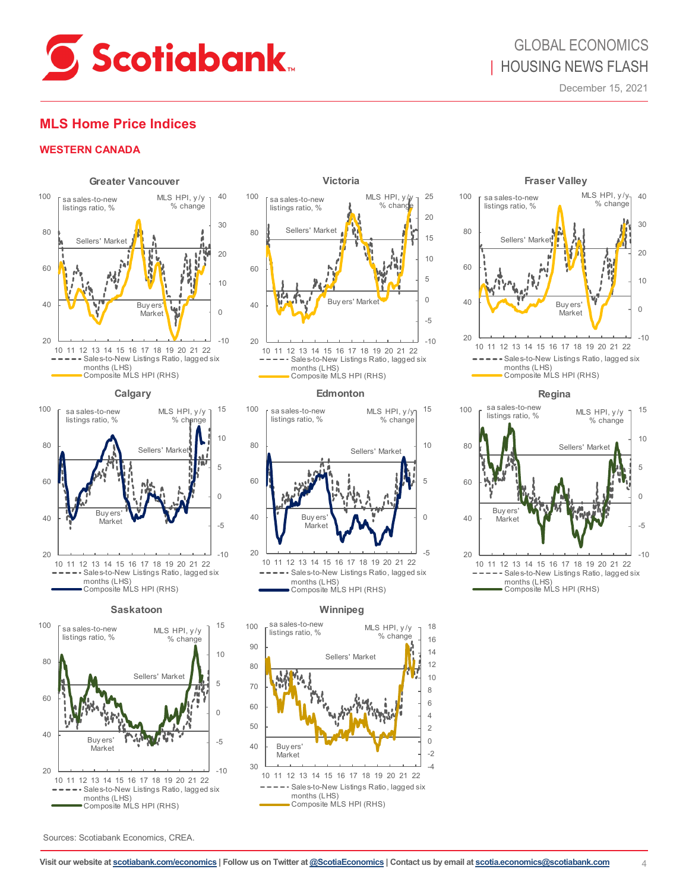

### **MLS Home Price Indices**

#### **WESTERN CANADA**





#### **Saskatoon**





Composite MLS HPI (RHS)

#### **Edmonton**



#### **Winnipeg**







**Regina**



Sources: Scotiabank Economics, CREA.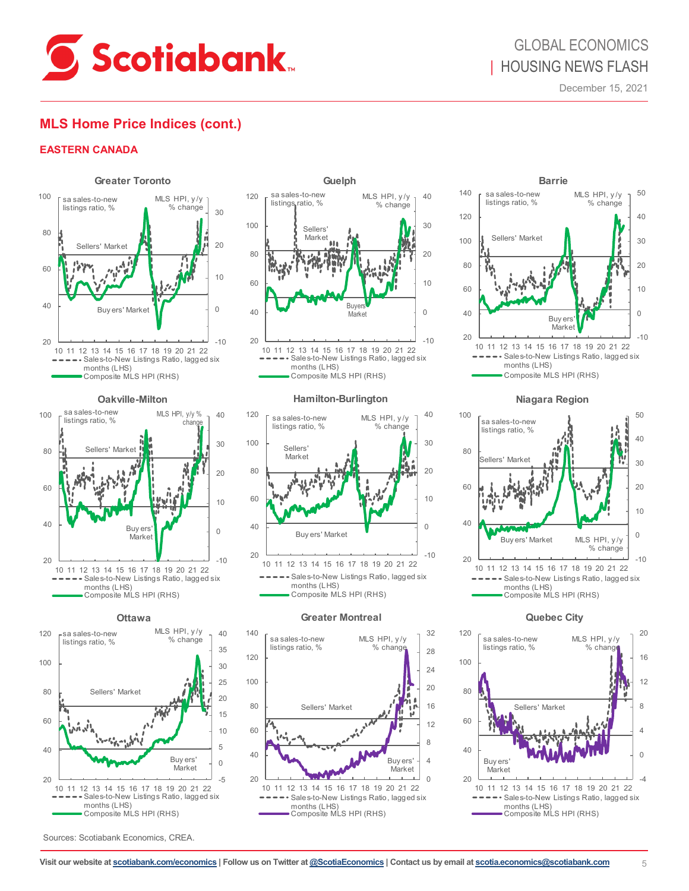

### **MLS Home Price Indices (cont.)**

### **EASTERN CANADA**





**Ottawa**



Sources: Scotiabank Economics, CREA.



Composite MLS HPI (RHS)

#### **Hamilton-Burlington**



#### **Greater Montreal**





#### **Niagara Region**



**Quebec City**

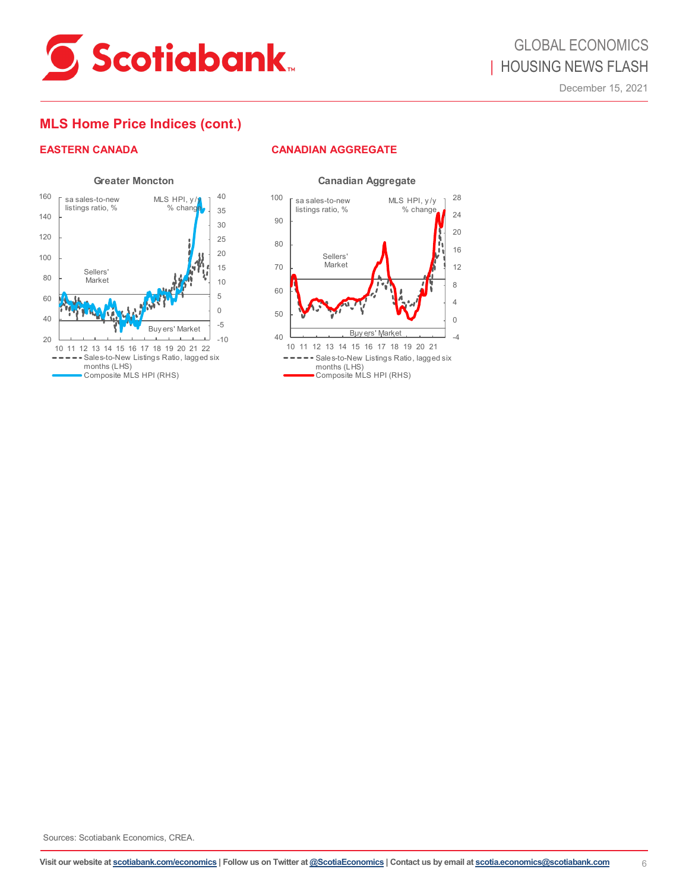

### **MLS Home Price Indices (cont.)**

### **EASTERN CANADA CANADIAN AGGREGATE**





Sources: Scotiabank Economics, CREA.